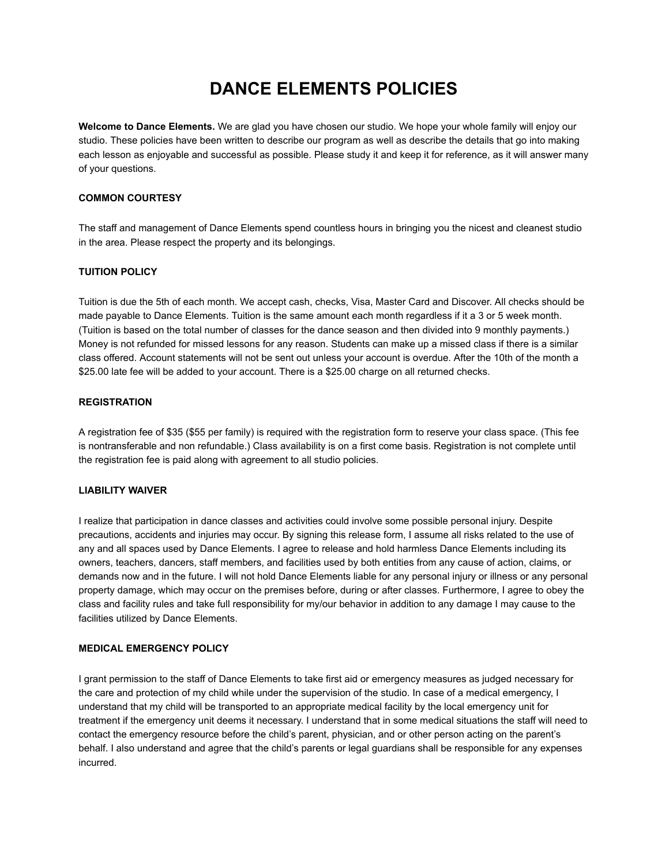# **DANCE ELEMENTS POLICIES**

**Welcome to Dance Elements.** We are glad you have chosen our studio. We hope your whole family will enjoy our studio. These policies have been written to describe our program as well as describe the details that go into making each lesson as enjoyable and successful as possible. Please study it and keep it for reference, as it will answer many of your questions.

# **COMMON COURTESY**

The staff and management of Dance Elements spend countless hours in bringing you the nicest and cleanest studio in the area. Please respect the property and its belongings.

## **TUITION POLICY**

Tuition is due the 5th of each month. We accept cash, checks, Visa, Master Card and Discover. All checks should be made payable to Dance Elements. Tuition is the same amount each month regardless if it a 3 or 5 week month. (Tuition is based on the total number of classes for the dance season and then divided into 9 monthly payments.) Money is not refunded for missed lessons for any reason. Students can make up a missed class if there is a similar class offered. Account statements will not be sent out unless your account is overdue. After the 10th of the month a \$25.00 late fee will be added to your account. There is a \$25.00 charge on all returned checks.

## **REGISTRATION**

A registration fee of \$35 (\$55 per family) is required with the registration form to reserve your class space. (This fee is nontransferable and non refundable.) Class availability is on a first come basis. Registration is not complete until the registration fee is paid along with agreement to all studio policies.

## **LIABILITY WAIVER**

I realize that participation in dance classes and activities could involve some possible personal injury. Despite precautions, accidents and injuries may occur. By signing this release form, I assume all risks related to the use of any and all spaces used by Dance Elements. I agree to release and hold harmless Dance Elements including its owners, teachers, dancers, staff members, and facilities used by both entities from any cause of action, claims, or demands now and in the future. I will not hold Dance Elements liable for any personal injury or illness or any personal property damage, which may occur on the premises before, during or after classes. Furthermore, I agree to obey the class and facility rules and take full responsibility for my/our behavior in addition to any damage I may cause to the facilities utilized by Dance Elements.

# **MEDICAL EMERGENCY POLICY**

I grant permission to the staff of Dance Elements to take first aid or emergency measures as judged necessary for the care and protection of my child while under the supervision of the studio. In case of a medical emergency, I understand that my child will be transported to an appropriate medical facility by the local emergency unit for treatment if the emergency unit deems it necessary. I understand that in some medical situations the staff will need to contact the emergency resource before the child's parent, physician, and or other person acting on the parent's behalf. I also understand and agree that the child's parents or legal guardians shall be responsible for any expenses incurred.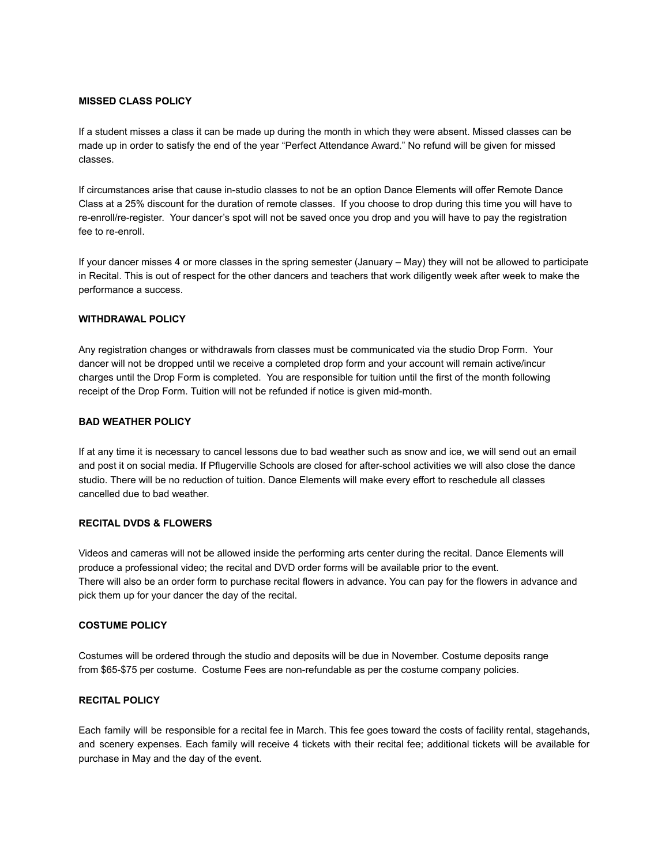### **MISSED CLASS POLICY**

If a student misses a class it can be made up during the month in which they were absent. Missed classes can be made up in order to satisfy the end of the year "Perfect Attendance Award." No refund will be given for missed classes.

If circumstances arise that cause in-studio classes to not be an option Dance Elements will offer Remote Dance Class at a 25% discount for the duration of remote classes. If you choose to drop during this time you will have to re-enroll/re-register. Your dancer's spot will not be saved once you drop and you will have to pay the registration fee to re-enroll.

If your dancer misses 4 or more classes in the spring semester (January – May) they will not be allowed to participate in Recital. This is out of respect for the other dancers and teachers that work diligently week after week to make the performance a success.

## **WITHDRAWAL POLICY**

Any registration changes or withdrawals from classes must be communicated via the studio Drop Form. Your dancer will not be dropped until we receive a completed drop form and your account will remain active/incur charges until the Drop Form is completed. You are responsible for tuition until the first of the month following receipt of the Drop Form. Tuition will not be refunded if notice is given mid-month.

## **BAD WEATHER POLICY**

If at any time it is necessary to cancel lessons due to bad weather such as snow and ice, we will send out an email and post it on social media. If Pflugerville Schools are closed for after-school activities we will also close the dance studio. There will be no reduction of tuition. Dance Elements will make every effort to reschedule all classes cancelled due to bad weather.

# **RECITAL DVDS & FLOWERS**

Videos and cameras will not be allowed inside the performing arts center during the recital. Dance Elements will produce a professional video; the recital and DVD order forms will be available prior to the event. There will also be an order form to purchase recital flowers in advance. You can pay for the flowers in advance and pick them up for your dancer the day of the recital.

### **COSTUME POLICY**

Costumes will be ordered through the studio and deposits will be due in November. Costume deposits range from \$65-\$75 per costume. Costume Fees are non-refundable as per the costume company policies.

# **RECITAL POLICY**

Each family will be responsible for a recital fee in March. This fee goes toward the costs of facility rental, stagehands, and scenery expenses. Each family will receive 4 tickets with their recital fee; additional tickets will be available for purchase in May and the day of the event.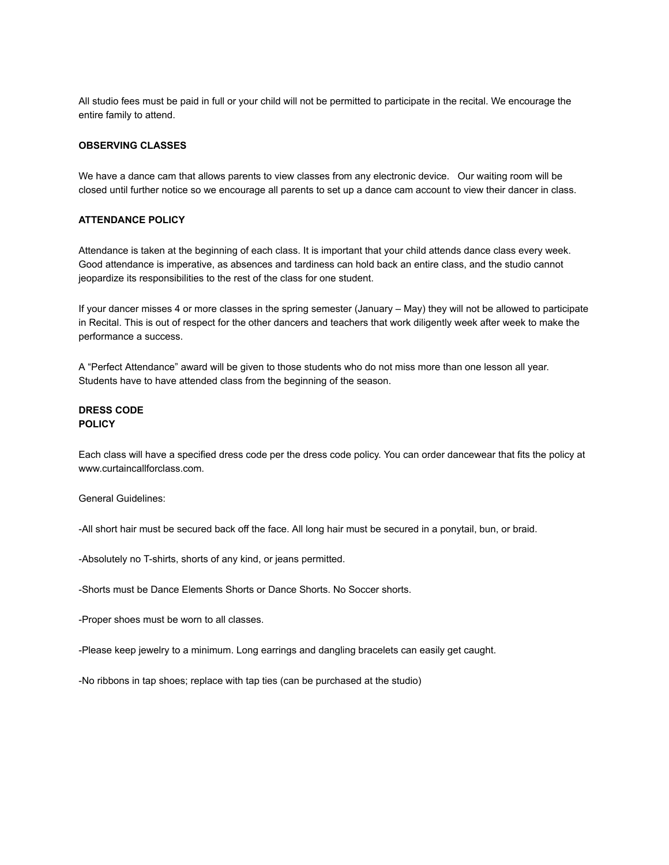All studio fees must be paid in full or your child will not be permitted to participate in the recital. We encourage the entire family to attend.

## **OBSERVING CLASSES**

We have a dance cam that allows parents to view classes from any electronic device. Our waiting room will be closed until further notice so we encourage all parents to set up a dance cam account to view their dancer in class.

# **ATTENDANCE POLICY**

Attendance is taken at the beginning of each class. It is important that your child attends dance class every week. Good attendance is imperative, as absences and tardiness can hold back an entire class, and the studio cannot jeopardize its responsibilities to the rest of the class for one student.

If your dancer misses 4 or more classes in the spring semester (January – May) they will not be allowed to participate in Recital. This is out of respect for the other dancers and teachers that work diligently week after week to make the performance a success.

A "Perfect Attendance" award will be given to those students who do not miss more than one lesson all year. Students have to have attended class from the beginning of the season.

# **DRESS CODE POLICY**

Each class will have a specified dress code per the dress code policy. You can order dancewear that fits the policy at www.curtaincallforclass.com.

General Guidelines:

-All short hair must be secured back off the face. All long hair must be secured in a ponytail, bun, or braid.

-Absolutely no T-shirts, shorts of any kind, or jeans permitted.

-Shorts must be Dance Elements Shorts or Dance Shorts. No Soccer shorts.

-Proper shoes must be worn to all classes.

-Please keep jewelry to a minimum. Long earrings and dangling bracelets can easily get caught.

-No ribbons in tap shoes; replace with tap ties (can be purchased at the studio)